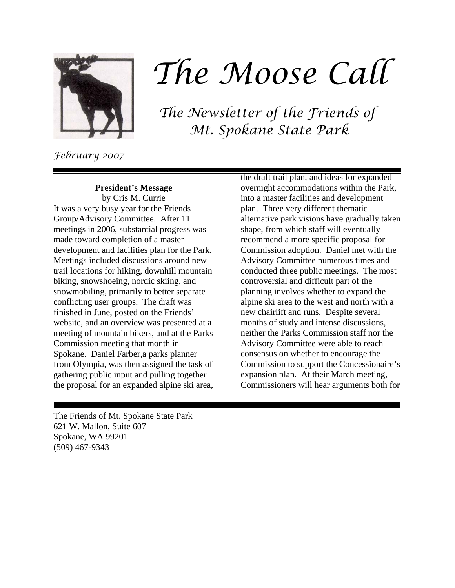

# *The Moose Call*

*The Newsletter of the Friends of Mt. Spokane State Park*

*February 2007*

**President's Message**

by Cris M. Currie It was a very busy year for the Friends Group/Advisory Committee. After 11 meetings in 2006, substantial progress was made toward completion of a master development and facilities plan for the Park. Meetings included discussions around new trail locations for hiking, downhill mountain biking, snowshoeing, nordic skiing, and snowmobiling, primarily to better separate conflicting user groups. The draft was finished in June, posted on the Friends' website, and an overview was presented at a meeting of mountain bikers, and at the Parks Commission meeting that month in Spokane. Daniel Farber,a parks planner from Olympia, was then assigned the task of gathering public input and pulling together the proposal for an expanded alpine ski area, the draft trail plan, and ideas for expanded overnight accommodations within the Park, into a master facilities and development plan. Three very different thematic alternative park visions have gradually taken shape, from which staff will eventually recommend a more specific proposal for Commission adoption. Daniel met with the Advisory Committee numerous times and conducted three public meetings. The most controversial and difficult part of the planning involves whether to expand the alpine ski area to the west and north with a new chairlift and runs. Despite several months of study and intense discussions, neither the Parks Commission staff nor the Advisory Committee were able to reach consensus on whether to encourage the Commission to support the Concessionaire's expansion plan. At their March meeting, Commissioners will hear arguments both for

The Friends of Mt. Spokane State Park 621 W. Mallon, Suite 607 Spokane, WA 99201 (509) 467-9343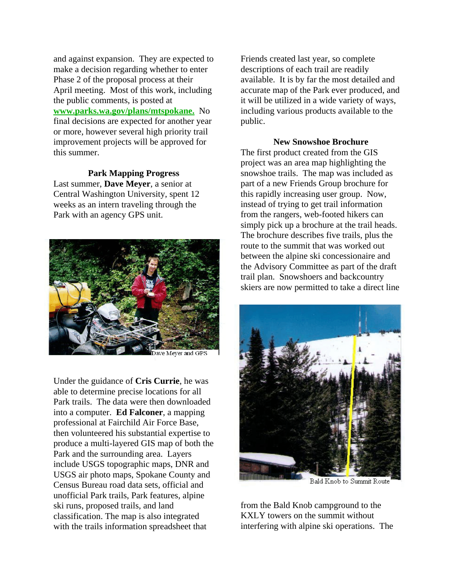and against expansion. They are expected to make a decision regarding whether to enter Phase 2 of the proposal process at their April meeting. Most of this work, including the public comments, is posted at **www.parks.wa.gov/plans/mtspokane.** No final decisions are expected for another year or more, however several high priority trail improvement projects will be approved for this summer.

### **Park Mapping Progress**

Last summer, **Dave Meyer**, a senior at Central Washington University, spent 12 weeks as an intern traveling through the Park with an agency GPS unit.



Dave Meyer and GPS

Under the guidance of **Cris Currie**, he was able to determine precise locations for all Park trails. The data were then downloaded into a computer. **Ed Falconer**, a mapping professional at Fairchild Air Force Base, then volunteered his substantial expertise to produce a multi-layered GIS map of both the Park and the surrounding area. Layers include USGS topographic maps, DNR and USGS air photo maps, Spokane County and Census Bureau road data sets, official and unofficial Park trails, Park features, alpine ski runs, proposed trails, and land classification. The map is also integrated with the trails information spreadsheet that

Friends created last year, so complete descriptions of each trail are readily available. It is by far the most detailed and accurate map of the Park ever produced, and it will be utilized in a wide variety of ways, including various products available to the public.

#### **New Snowshoe Brochure**

The first product created from the GIS project was an area map highlighting the snowshoe trails. The map was included as part of a new Friends Group brochure for this rapidly increasing user group. Now, instead of trying to get trail information from the rangers, web-footed hikers can simply pick up a brochure at the trail heads. The brochure describes five trails, plus the route to the summit that was worked out between the alpine ski concessionaire and the Advisory Committee as part of the draft trail plan. Snowshoers and backcountry skiers are now permitted to take a direct line



Bald Knob to Summit Route

from the Bald Knob campground to the KXLY towers on the summit without interfering with alpine ski operations. The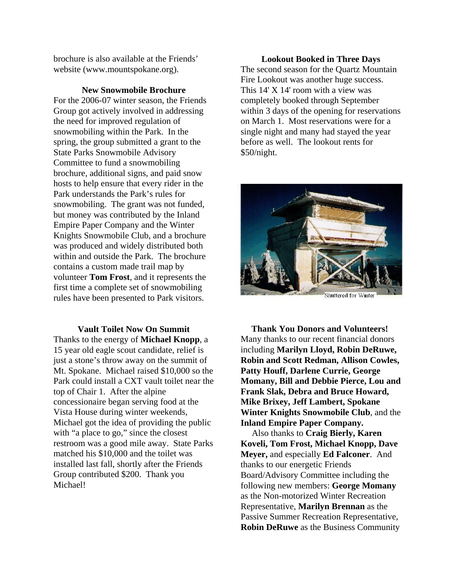brochure is also available at the Friends' website (www.mountspokane.org).

**New Snowmobile Brochure**

For the 2006-07 winter season, the Friends Group got actively involved in addressing the need for improved regulation of snowmobiling within the Park. In the spring, the group submitted a grant to the State Parks Snowmobile Advisory Committee to fund a snowmobiling brochure, additional signs, and paid snow hosts to help ensure that every rider in the Park understands the Park's rules for snowmobiling. The grant was not funded, but money was contributed by the Inland Empire Paper Company and the Winter Knights Snowmobile Club, and a brochure was produced and widely distributed both within and outside the Park. The brochure contains a custom made trail map by volunteer **Tom Frost**, and it represents the first time a complete set of snowmobiling rules have been presented to Park visitors.

**Vault Toilet Now On Summit** Thanks to the energy of **Michael Knopp**, a 15 year old eagle scout candidate, relief is just a stone's throw away on the summit of Mt. Spokane. Michael raised \$10,000 so the Park could install a CXT vault toilet near the top of Chair 1. After the alpine concessionaire began serving food at the Vista House during winter weekends, Michael got the idea of providing the public with "a place to go," since the closest restroom was a good mile away. State Parks matched his \$10,000 and the toilet was installed last fall, shortly after the Friends Group contributed \$200. Thank you Michael!

# **Lookout Booked in Three Days** The second season for the Quartz Mountain Fire Lookout was another huge success. This 14' X 14' room with a view was

completely booked through September within 3 days of the opening for reservations on March 1. Most reservations were for a single night and many had stayed the year before as well. The lookout rents for \$50/night.



**Thank You Donors and Volunteers!**  Many thanks to our recent financial donors including **Marilyn Lloyd, Robin DeRuwe, Robin and Scott Redman, Allison Cowles, Patty Houff, Darlene Currie, George Momany, Bill and Debbie Pierce, Lou and Frank Slak, Debra and Bruce Howard, Mike Brixey, Jeff Lambert, Spokane Winter Knights Snowmobile Club**, and the **Inland Empire Paper Company.**

 Also thanks to **Craig Bierly, Karen Koveli, Tom Frost, Michael Knopp, Dave Meyer,** and especially **Ed Falconer**. And thanks to our energetic Friends Board/Advisory Committee including the following new members: **George Momany** as the Non-motorized Winter Recreation Representative, **Marilyn Brennan** as the Passive Summer Recreation Representative, **Robin DeRuwe** as the Business Community